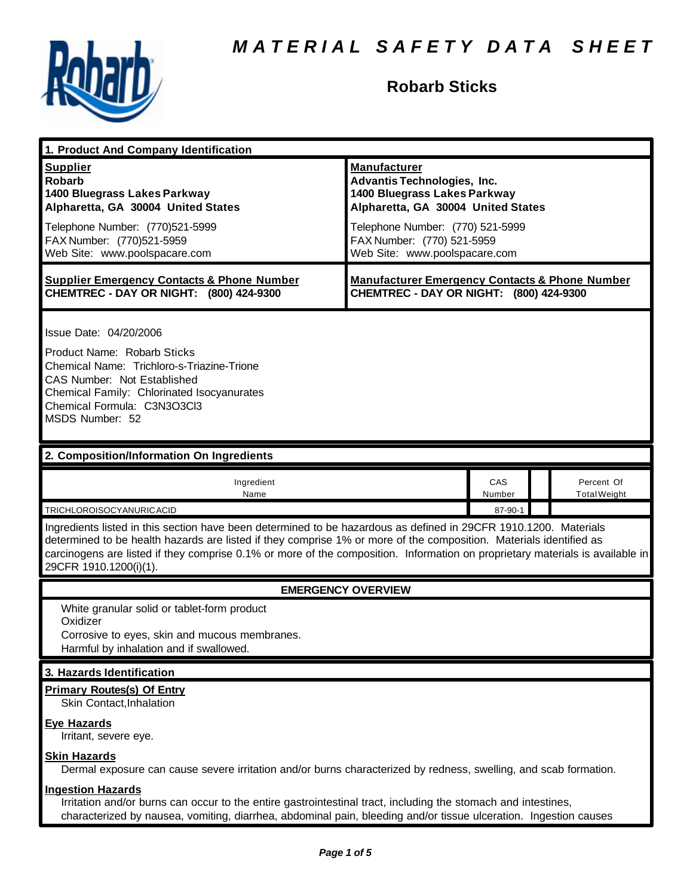

# **Robarb Sticks**

| 1. Product And Company Identification                                                                                                                                                                                                                                                                                                                                                                                                    |                                                                                                                                                                                                                                    |               |  |                                   |  |
|------------------------------------------------------------------------------------------------------------------------------------------------------------------------------------------------------------------------------------------------------------------------------------------------------------------------------------------------------------------------------------------------------------------------------------------|------------------------------------------------------------------------------------------------------------------------------------------------------------------------------------------------------------------------------------|---------------|--|-----------------------------------|--|
| <b>Supplier</b><br><b>Robarb</b><br>1400 Bluegrass Lakes Parkway<br>Alpharetta, GA 30004 United States<br>Telephone Number: (770)521-5999<br>FAX Number: (770)521-5959<br>Web Site: www.poolspacare.com                                                                                                                                                                                                                                  | <b>Manufacturer</b><br><b>Advantis Technologies, Inc.</b><br>1400 Bluegrass Lakes Parkway<br>Alpharetta, GA 30004 United States<br>Telephone Number: (770) 521-5999<br>FAX Number: (770) 521-5959<br>Web Site: www.poolspacare.com |               |  |                                   |  |
| <b>Supplier Emergency Contacts &amp; Phone Number</b><br>CHEMTREC - DAY OR NIGHT: (800) 424-9300                                                                                                                                                                                                                                                                                                                                         | <b>Manufacturer Emergency Contacts &amp; Phone Number</b><br>CHEMTREC - DAY OR NIGHT: (800) 424-9300                                                                                                                               |               |  |                                   |  |
| Issue Date: 04/20/2006<br>Product Name: Robarb Sticks<br>Chemical Name: Trichloro-s-Triazine-Trione<br><b>CAS Number: Not Established</b><br>Chemical Family: Chlorinated Isocyanurates<br>Chemical Formula: C3N3O3Cl3<br>MSDS Number: 52                                                                                                                                                                                                |                                                                                                                                                                                                                                    |               |  |                                   |  |
| 2. Composition/Information On Ingredients                                                                                                                                                                                                                                                                                                                                                                                                |                                                                                                                                                                                                                                    |               |  |                                   |  |
| Ingredient<br>Name                                                                                                                                                                                                                                                                                                                                                                                                                       |                                                                                                                                                                                                                                    | CAS<br>Number |  | Percent Of<br><b>Total Weight</b> |  |
| 87-90-1<br>TRICHLOROISOCYANURICACID<br>Ingredients listed in this section have been determined to be hazardous as defined in 29CFR 1910.1200. Materials<br>determined to be health hazards are listed if they comprise 1% or more of the composition. Materials identified as<br>carcinogens are listed if they comprise 0.1% or more of the composition. Information on proprietary materials is available in<br>29CFR 1910.1200(i)(1). |                                                                                                                                                                                                                                    |               |  |                                   |  |
| <b>EMERGENCY OVERVIEW</b>                                                                                                                                                                                                                                                                                                                                                                                                                |                                                                                                                                                                                                                                    |               |  |                                   |  |
| White granular solid or tablet-form product<br>Oxidizer<br>Corrosive to eyes, skin and mucous membranes.<br>Harmful by inhalation and if swallowed.                                                                                                                                                                                                                                                                                      |                                                                                                                                                                                                                                    |               |  |                                   |  |
| 3. Hazards Identification                                                                                                                                                                                                                                                                                                                                                                                                                |                                                                                                                                                                                                                                    |               |  |                                   |  |
| <b>Primary Routes(s) Of Entry</b><br>Skin Contact, Inhalation                                                                                                                                                                                                                                                                                                                                                                            |                                                                                                                                                                                                                                    |               |  |                                   |  |
| <b>Eye Hazards</b><br>Irritant, severe eye.                                                                                                                                                                                                                                                                                                                                                                                              |                                                                                                                                                                                                                                    |               |  |                                   |  |
| <b>Skin Hazards</b><br>Dermal exposure can cause severe irritation and/or burns characterized by redness, swelling, and scab formation.                                                                                                                                                                                                                                                                                                  |                                                                                                                                                                                                                                    |               |  |                                   |  |
| <b>Ingestion Hazards</b><br>Irritation and/or burns can occur to the entire gastrointestinal tract, including the stomach and intestines,<br>characterized by nausea, vomiting, diarrhea, abdominal pain, bleeding and/or tissue ulceration. Ingestion causes                                                                                                                                                                            |                                                                                                                                                                                                                                    |               |  |                                   |  |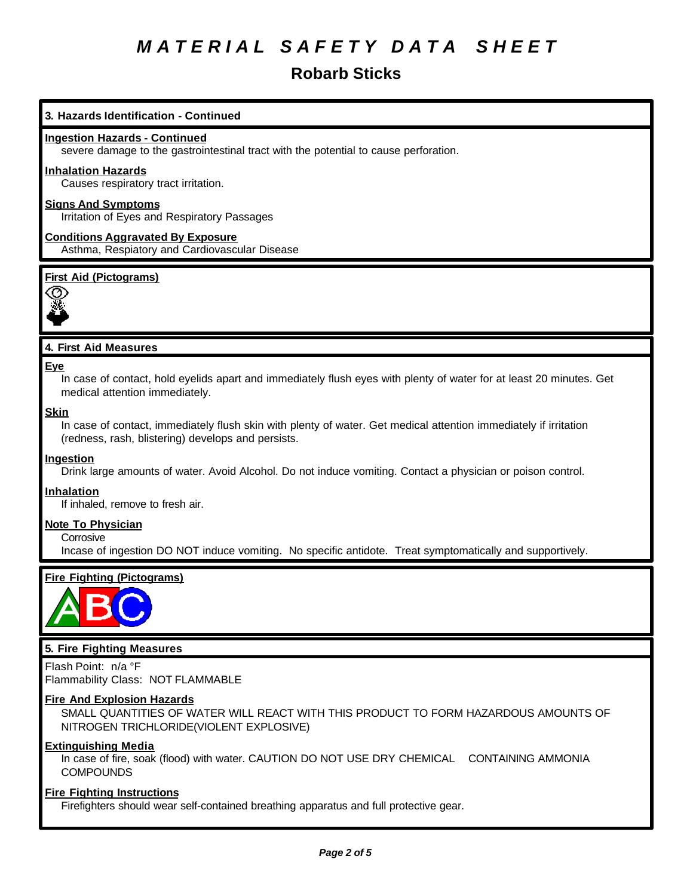# **Robarb Sticks**

# **3. Hazards Identification - Continued**

### **Ingestion Hazards - Continued**

severe damage to the gastrointestinal tract with the potential to cause perforation.

#### **Inhalation Hazards**

Causes respiratory tract irritation.

# **Signs And Symptoms**

Irritation of Eyes and Respiratory Passages

# **Conditions Aggravated By Exposure** Asthma, Respiatory and Cardiovascular Disease

# **First Aid (Pictograms)**



# **4. First Aid Measures**

#### **Eye**

In case of contact, hold eyelids apart and immediately flush eyes with plenty of water for at least 20 minutes. Get medical attention immediately.

#### **Skin**

In case of contact, immediately flush skin with plenty of water. Get medical attention immediately if irritation (redness, rash, blistering) develops and persists.

#### **Ingestion**

Drink large amounts of water. Avoid Alcohol. Do not induce vomiting. Contact a physician or poison control.

#### **Inhalation**

If inhaled, remove to fresh air.

#### **Note To Physician**

**Corrosive** 

Incase of ingestion DO NOT induce vomiting. No specific antidote. Treat symptomatically and supportively.

# **Fire Fighting (Pictograms)**



# **5. Fire Fighting Measures**

Flash Point: n/a °F Flammability Class: NOT FLAMMABLE

#### **Fire And Explosion Hazards**

SMALL QUANTITIES OF WATER WILL REACT WITH THIS PRODUCT TO FORM HAZARDOUS AMOUNTS OF NITROGEN TRICHLORIDE(VIOLENT EXPLOSIVE)

# **Extinguishing Media**

In case of fire, soak (flood) with water. CAUTION DO NOT USE DRY CHEMICAL CONTAINING AMMONIA **COMPOUNDS** 

### **Fire Fighting Instructions**

Firefighters should wear self-contained breathing apparatus and full protective gear.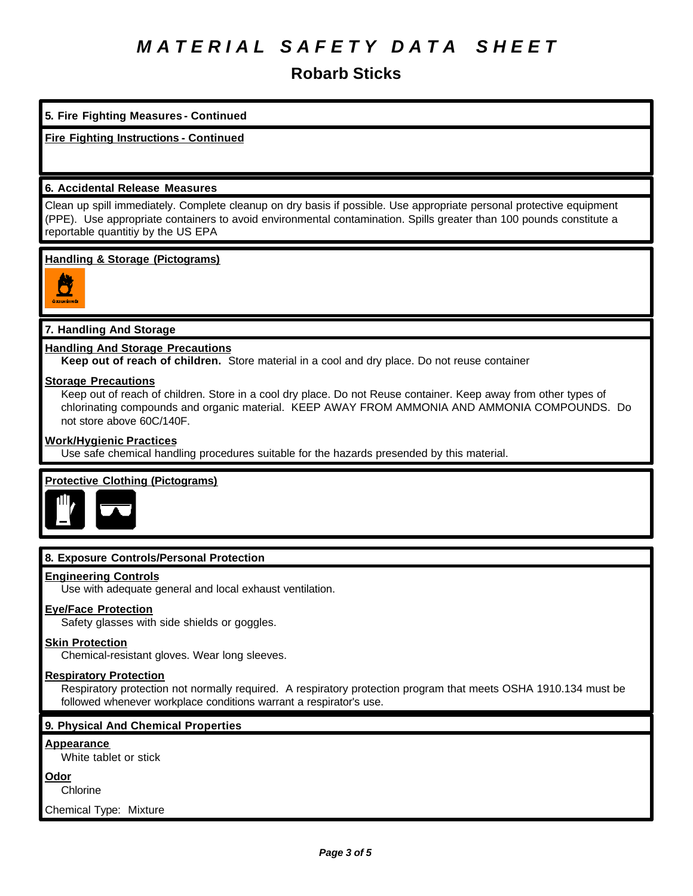**Robarb Sticks**

# **5. Fire Fighting Measures - Continued**

**Fire Fighting Instructions - Continued**

# **6. Accidental Release Measures**

Clean up spill immediately. Complete cleanup on dry basis if possible. Use appropriate personal protective equipment (PPE). Use appropriate containers to avoid environmental contamination. Spills greater than 100 pounds constitute a reportable quantitiy by the US EPA

## **Handling & Storage (Pictograms)**



# **7. Handling And Storage**

## **Handling And Storage Precautions**

**Keep out of reach of children.** Store material in a cool and dry place. Do not reuse container

#### **Storage Precautions**

Keep out of reach of children. Store in a cool dry place. Do not Reuse container. Keep away from other types of chlorinating compounds and organic material. KEEP AWAY FROM AMMONIA AND AMMONIA COMPOUNDS. Do not store above 60C/140F.

## **Work/Hygienic Practices**

Use safe chemical handling procedures suitable for the hazards presended by this material.

# **Protective Clothing (Pictograms)**



# **8. Exposure Controls/Personal Protection**

#### **Engineering Controls**

Use with adequate general and local exhaust ventilation.

# **Eye/Face Protection**

Safety glasses with side shields or goggles.

#### **Skin Protection**

Chemical-resistant gloves. Wear long sleeves.

# **Respiratory Protection**

Respiratory protection not normally required. A respiratory protection program that meets OSHA 1910.134 must be followed whenever workplace conditions warrant a respirator's use.

#### **9. Physical And Chemical Properties**

#### **Appearance**

White tablet or stick

#### **Odor**

**Chlorine** 

Chemical Type: Mixture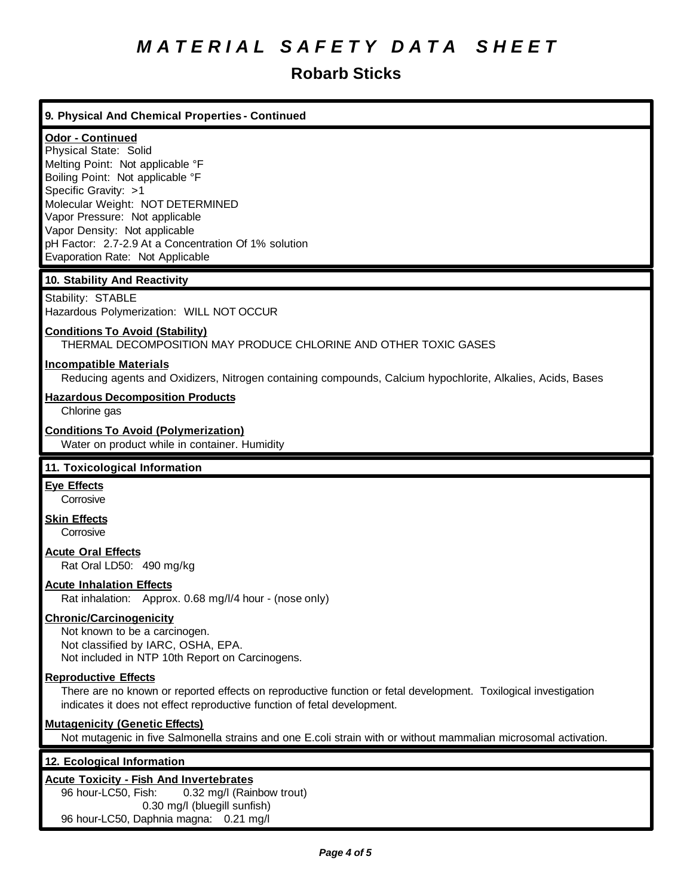# **Robarb Sticks**

# **9. Physical And Chemical Properties - Continued**

# **Odor - Continued**

Physical State: Solid Melting Point: Not applicable °F Boiling Point: Not applicable °F Specific Gravity: >1 Molecular Weight: NOT DETERMINED Vapor Pressure: Not applicable Vapor Density: Not applicable pH Factor: 2.7-2.9 At a Concentration Of 1% solution Evaporation Rate: Not Applicable

# **10. Stability And Reactivity**

Stability: STABLE Hazardous Polymerization: WILL NOT OCCUR

# **Conditions To Avoid (Stability)**

THERMAL DECOMPOSITION MAY PRODUCE CHLORINE AND OTHER TOXIC GASES

# **Incompatible Materials**

Reducing agents and Oxidizers, Nitrogen containing compounds, Calcium hypochlorite, Alkalies, Acids, Bases

### **Hazardous Decomposition Products**

Chlorine gas

#### **Conditions To Avoid (Polymerization)**

Water on product while in container. Humidity

#### **11. Toxicological Information**

# **Eye Effects**

**Corrosive** 

**Skin Effects**

**Corrosive** 

# **Acute Oral Effects**

Rat Oral LD50: 490 mg/kg

### **Acute Inhalation Effects**

Rat inhalation: Approx. 0.68 mg/l/4 hour - (nose only)

#### **Chronic/Carcinogenicity**

Not known to be a carcinogen. Not classified by IARC, OSHA, EPA. Not included in NTP 10th Report on Carcinogens.

## **Reproductive Effects**

There are no known or reported effects on reproductive function or fetal development. Toxilogical investigation indicates it does not effect reproductive function of fetal development.

### **Mutagenicity (Genetic Effects)**

Not mutagenic in five Salmonella strains and one E.coli strain with or without mammalian microsomal activation.

#### **12. Ecological Information**

### **Acute Toxicity - Fish And Invertebrates**

96 hour-LC50, Fish: 0.32 mg/l (Rainbow trout) 0.30 mg/l (bluegill sunfish) 96 hour-LC50, Daphnia magna: 0.21 mg/l